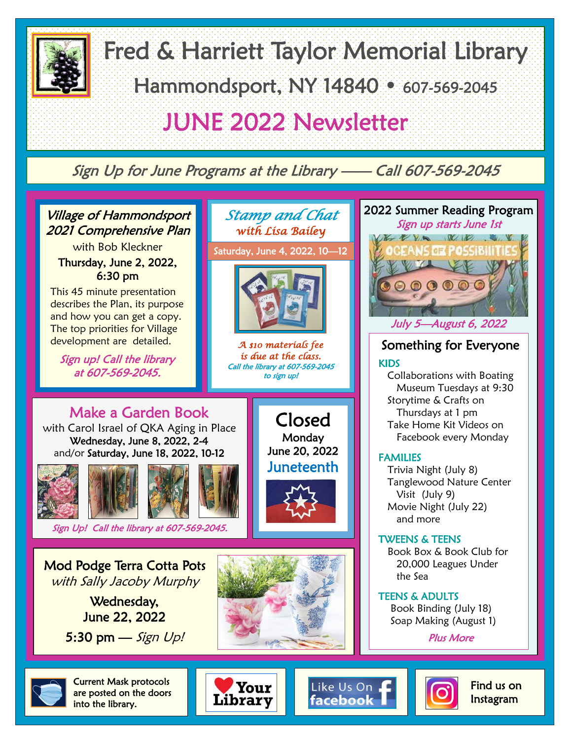

Fred & Harriett Taylor Memorial Library Hammondsport, NY 14840 • 607-569-2045 JUNE 2022 Newsletter

Sign Up for June Programs at the Library —— Call 607-569-2045



with Bob Kleckner Thursday, June 2, 2022, 6:30 pm

This 45 minute presentation describes the Plan, its purpose and how you can get a copy. The top priorities for Village development are detailed.

Sign up! Call the library at 607-569-2045.

*with Lisa Bailey* Saturday, June 4, 2022, 10—12

*Stamp and Chat* 



*A \$10 materials fee is due at the class.*  Call the library at 607-569-2045 to sign up!

> Closed **Monday** June 20, 2022 Juneteenth

# Make a Garden Book

with Carol Israel of QKA Aging in Place Wednesday, June 8, 2022, 2-4 and/or Saturday, June 18, 2022, 10-12



Sign Up! Call the library at 607-569-2045.

Mod Podge Terra Cotta Pots with Sally Jacoby Murphy

> Wednesday, June 22, 2022

5:30 pm  $-$  Sign Up!





## Something for Everyone KIDS

 Collaborations with Boating Museum Tuesdays at 9:30 Storytime & Crafts on Thursdays at 1 pm Take Home Kit Videos on Facebook every Monday

### FAMILIES

 Trivia Night (July 8) Tanglewood Nature Center Visit (July 9) Movie Night (July 22) and more

#### TWEENS & TEENS

 Book Box & Book Club for 20,000 Leagues Under the Sea

TEENS & ADULTS Book Binding (July 18)

Soap Making (August 1)

Plus More



Current Mask protocols are posted on the doors into the library.







 Find us on Instagram